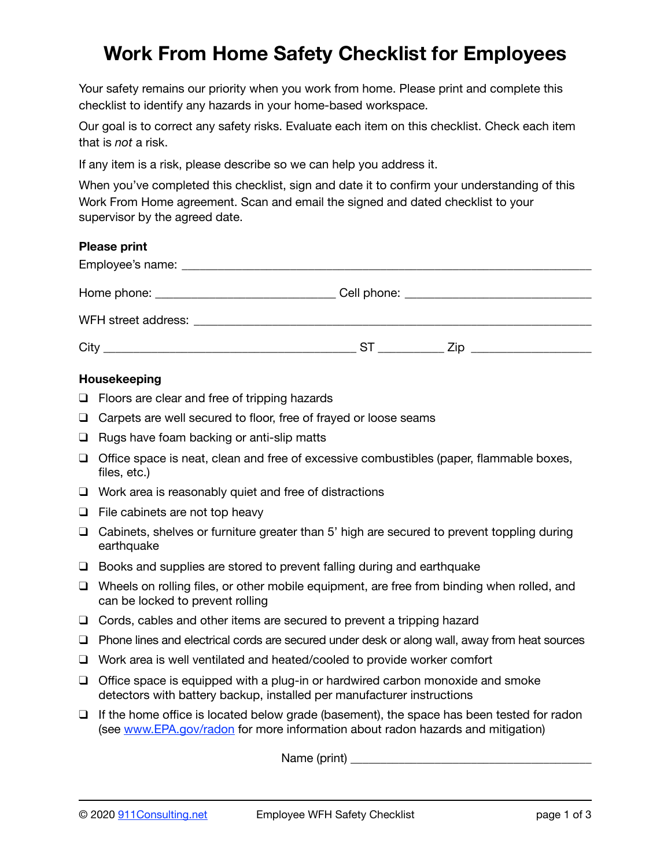# **Work From Home Safety Checklist for Employees**

Your safety remains our priority when you work from home. Please print and complete this checklist to identify any hazards in your home-based workspace.

Our goal is to correct any safety risks. Evaluate each item on this checklist. Check each item that is *not* a risk.

If any item is a risk, please describe so we can help you address it.

When you've completed this checklist, sign and date it to confirm your understanding of this Work From Home agreement. Scan and email the signed and dated checklist to your supervisor by the agreed date.

## **Please print**

|                                                                                                                                                                                                                                | Cell phone: <u>____________________________</u> |
|--------------------------------------------------------------------------------------------------------------------------------------------------------------------------------------------------------------------------------|-------------------------------------------------|
| WFH street address: Web and the street and the street and the street and the street and the street and the street and the street and the street and the street and the street and the street and the street and the street and |                                                 |
| City                                                                                                                                                                                                                           | S1<br>∕in                                       |

#### **Housekeeping**

- ❑ Floors are clear and free of tripping hazards
- ❑ Carpets are well secured to floor, free of frayed or loose seams
- ❑ Rugs have foam backing or anti-slip matts
- ❑ Office space is neat, clean and free of excessive combustibles (paper, flammable boxes, files, etc.)
- ❑ Work area is reasonably quiet and free of distractions
- ❑ File cabinets are not top heavy
- ❑ Cabinets, shelves or furniture greater than 5' high are secured to prevent toppling during earthquake
- ❑ Books and supplies are stored to prevent falling during and earthquake
- ❑ Wheels on rolling files, or other mobile equipment, are free from binding when rolled, and can be locked to prevent rolling
- ❑ Cords, cables and other items are secured to prevent a tripping hazard
- ❑ Phone lines and electrical cords are secured under desk or along wall, away from heat sources
- ❑ Work area is well ventilated and heated/cooled to provide worker comfort
- ❑ Office space is equipped with a plug-in or hardwired carbon monoxide and smoke detectors with battery backup, installed per manufacturer instructions
- ❑ If the home office is located below grade (basement), the space has been tested for radon (see [www.EPA.gov/radon](http://www.EPA.gov/radon) for more information about radon hazards and mitigation)

Name (print) \_\_\_\_\_\_\_\_\_\_\_\_\_\_\_\_\_\_\_\_\_\_\_\_\_\_\_\_\_\_\_\_\_\_\_\_\_\_\_\_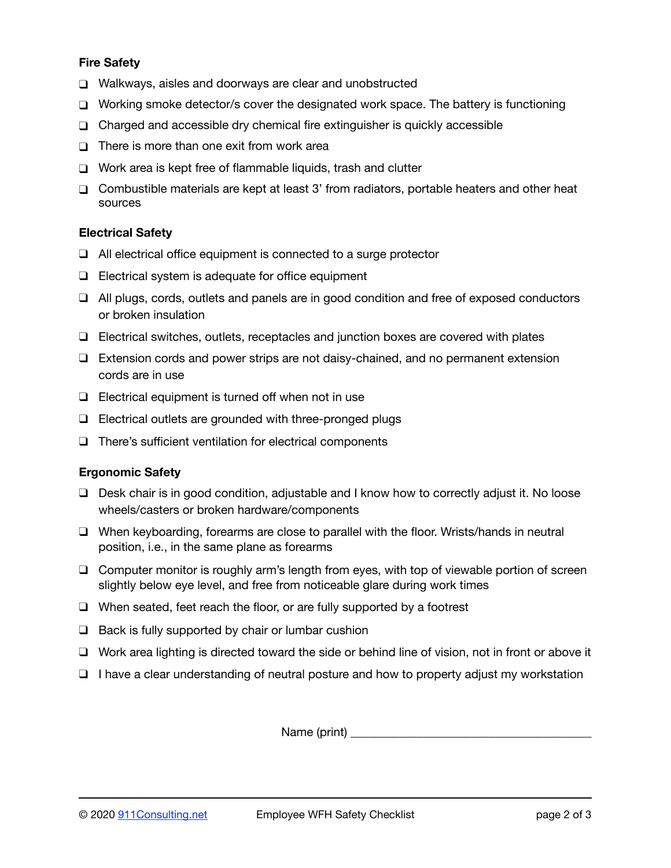## **Fire Safety**

- ❑ Walkways, aisles and doorways are clear and unobstructed
- ❑ Working smoke detector/s cover the designated work space. The battery is functioning
- ❑ Charged and accessible dry chemical fire extinguisher is quickly accessible
- ❑ There is more than one exit from work area
- ❑ Work area is kept free of flammable liquids, trash and clutter
- ❑ Combustible materials are kept at least 3' from radiators, portable heaters and other heat sources

#### **Electrical Safety**

- ❑ All electrical office equipment is connected to a surge protector
- ❑ Electrical system is adequate for office equipment
- ❑ All plugs, cords, outlets and panels are in good condition and free of exposed conductors or broken insulation
- ❑ Electrical switches, outlets, receptacles and junction boxes are covered with plates
- ❑ Extension cords and power strips are not daisy-chained, and no permanent extension cords are in use
- ❑ Electrical equipment is turned off when not in use
- ❑ Electrical outlets are grounded with three-pronged plugs
- ❑ There's sufficient ventilation for electrical components

## **Ergonomic Safety**

- ❑ Desk chair is in good condition, adjustable and I know how to correctly adjust it. No loose wheels/casters or broken hardware/components
- ❑ When keyboarding, forearms are close to parallel with the floor. Wrists/hands in neutral position, i.e., in the same plane as forearms
- ❑ Computer monitor is roughly arm's length from eyes, with top of viewable portion of screen slightly below eye level, and free from noticeable glare during work times
- ❑ When seated, feet reach the floor, or are fully supported by a footrest
- $\Box$  Back is fully supported by chair or lumbar cushion
- ❑ Work area lighting is directed toward the side or behind line of vision, not in front or above it
- ❑ I have a clear understanding of neutral posture and how to property adjust my workstation

Name (print) \_\_\_\_\_\_\_\_\_\_\_\_\_\_\_\_\_\_\_\_\_\_\_\_\_\_\_\_\_\_\_\_\_\_\_\_\_\_\_\_